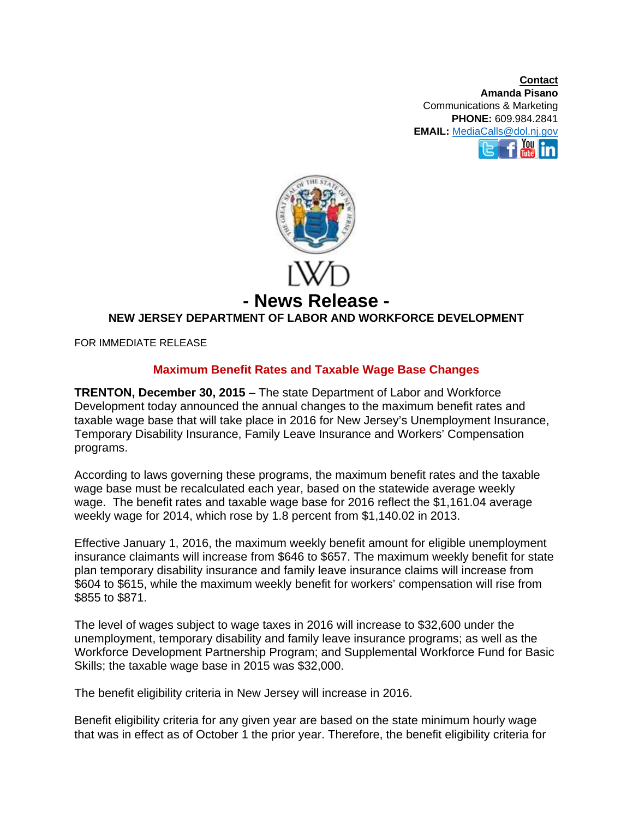**Contact Amanda Pisano**  Communications & Marketing **PHONE:** 609.984.2841 **EMAIL:** MediaCalls@dol.nj.gov You



## **NEW JERSEY DEPARTMENT OF LABOR AND WORKFORCE DEVELOPMENT**

FOR IMMEDIATE RELEASE

## **Maximum Benefit Rates and Taxable Wage Base Changes**

**TRENTON, December 30, 2015** – The state Department of Labor and Workforce Development today announced the annual changes to the maximum benefit rates and taxable wage base that will take place in 2016 for New Jersey's Unemployment Insurance, Temporary Disability Insurance, Family Leave Insurance and Workers' Compensation programs.

According to laws governing these programs, the maximum benefit rates and the taxable wage base must be recalculated each year, based on the statewide average weekly wage. The benefit rates and taxable wage base for 2016 reflect the \$1,161.04 average weekly wage for 2014, which rose by 1.8 percent from \$1,140.02 in 2013.

Effective January 1, 2016, the maximum weekly benefit amount for eligible unemployment insurance claimants will increase from \$646 to \$657. The maximum weekly benefit for state plan temporary disability insurance and family leave insurance claims will increase from \$604 to \$615, while the maximum weekly benefit for workers' compensation will rise from \$855 to \$871.

The level of wages subject to wage taxes in 2016 will increase to \$32,600 under the unemployment, temporary disability and family leave insurance programs; as well as the Workforce Development Partnership Program; and Supplemental Workforce Fund for Basic Skills; the taxable wage base in 2015 was \$32,000.

The benefit eligibility criteria in New Jersey will increase in 2016.

Benefit eligibility criteria for any given year are based on the state minimum hourly wage that was in effect as of October 1 the prior year. Therefore, the benefit eligibility criteria for